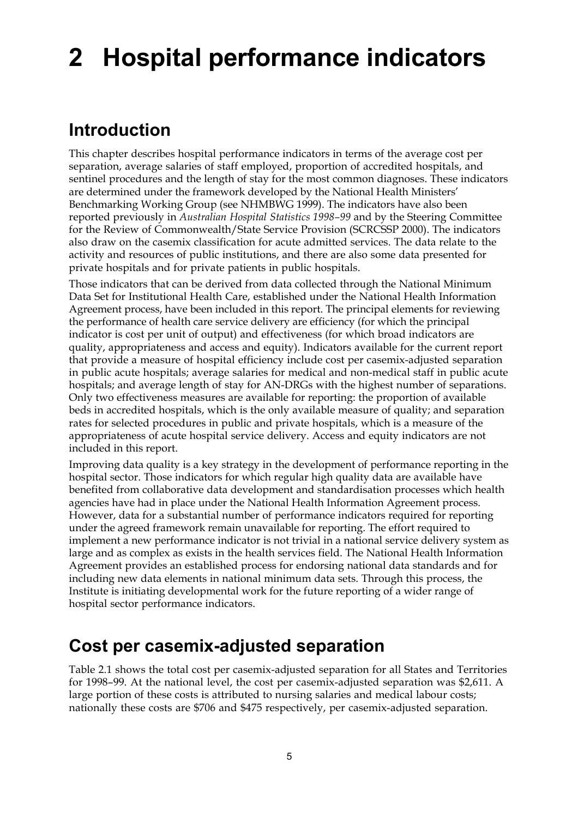# **2 Hospital performance indicators**

### **Introduction**

This chapter describes hospital performance indicators in terms of the average cost per separation, average salaries of staff employed, proportion of accredited hospitals, and sentinel procedures and the length of stay for the most common diagnoses. These indicators are determined under the framework developed by the National Health Ministers' Benchmarking Working Group (see NHMBWG 1999). The indicators have also been reported previously in *Australian Hospital Statistics 1998–99* and by the Steering Committee for the Review of Commonwealth/State Service Provision (SCRCSSP 2000). The indicators also draw on the casemix classification for acute admitted services. The data relate to the activity and resources of public institutions, and there are also some data presented for private hospitals and for private patients in public hospitals.

Those indicators that can be derived from data collected through the National Minimum Data Set for Institutional Health Care, established under the National Health Information Agreement process, have been included in this report. The principal elements for reviewing the performance of health care service delivery are efficiency (for which the principal indicator is cost per unit of output) and effectiveness (for which broad indicators are quality, appropriateness and access and equity). Indicators available for the current report that provide a measure of hospital efficiency include cost per casemix-adjusted separation in public acute hospitals; average salaries for medical and non-medical staff in public acute hospitals; and average length of stay for AN-DRGs with the highest number of separations. Only two effectiveness measures are available for reporting: the proportion of available beds in accredited hospitals, which is the only available measure of quality; and separation rates for selected procedures in public and private hospitals, which is a measure of the appropriateness of acute hospital service delivery. Access and equity indicators are not included in this report.

Improving data quality is a key strategy in the development of performance reporting in the hospital sector. Those indicators for which regular high quality data are available have benefited from collaborative data development and standardisation processes which health agencies have had in place under the National Health Information Agreement process. However, data for a substantial number of performance indicators required for reporting under the agreed framework remain unavailable for reporting. The effort required to implement a new performance indicator is not trivial in a national service delivery system as large and as complex as exists in the health services field. The National Health Information Agreement provides an established process for endorsing national data standards and for including new data elements in national minimum data sets. Through this process, the Institute is initiating developmental work for the future reporting of a wider range of hospital sector performance indicators.

#### **Cost per casemix-adjusted separation**

Table 2.1 shows the total cost per casemix-adjusted separation for all States and Territories for 1998–99. At the national level, the cost per casemix-adjusted separation was \$2,611. A large portion of these costs is attributed to nursing salaries and medical labour costs; nationally these costs are \$706 and \$475 respectively, per casemix-adjusted separation.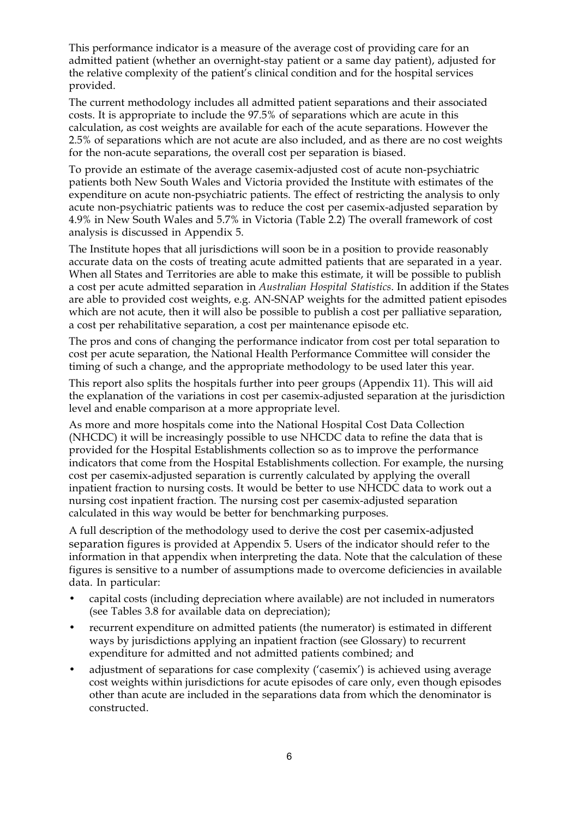This performance indicator is a measure of the average cost of providing care for an admitted patient (whether an overnight-stay patient or a same day patient), adjusted for the relative complexity of the patient's clinical condition and for the hospital services provided.

The current methodology includes all admitted patient separations and their associated costs. It is appropriate to include the 97.5% of separations which are acute in this calculation, as cost weights are available for each of the acute separations. However the 2.5% of separations which are not acute are also included, and as there are no cost weights for the non-acute separations, the overall cost per separation is biased.

To provide an estimate of the average casemix-adjusted cost of acute non-psychiatric patients both New South Wales and Victoria provided the Institute with estimates of the expenditure on acute non-psychiatric patients. The effect of restricting the analysis to only acute non-psychiatric patients was to reduce the cost per casemix-adjusted separation by 4.9% in New South Wales and 5.7% in Victoria (Table 2.2) The overall framework of cost analysis is discussed in Appendix 5.

The Institute hopes that all jurisdictions will soon be in a position to provide reasonably accurate data on the costs of treating acute admitted patients that are separated in a year. When all States and Territories are able to make this estimate, it will be possible to publish a cost per acute admitted separation in *Australian Hospital Statistics*. In addition if the States are able to provided cost weights, e.g. AN-SNAP weights for the admitted patient episodes which are not acute, then it will also be possible to publish a cost per palliative separation, a cost per rehabilitative separation, a cost per maintenance episode etc.

The pros and cons of changing the performance indicator from cost per total separation to cost per acute separation, the National Health Performance Committee will consider the timing of such a change, and the appropriate methodology to be used later this year.

This report also splits the hospitals further into peer groups (Appendix 11). This will aid the explanation of the variations in cost per casemix-adjusted separation at the jurisdiction level and enable comparison at a more appropriate level.

As more and more hospitals come into the National Hospital Cost Data Collection (NHCDC) it will be increasingly possible to use NHCDC data to refine the data that is provided for the Hospital Establishments collection so as to improve the performance indicators that come from the Hospital Establishments collection. For example, the nursing cost per casemix-adjusted separation is currently calculated by applying the overall inpatient fraction to nursing costs. It would be better to use NHCDC data to work out a nursing cost inpatient fraction. The nursing cost per casemix-adjusted separation calculated in this way would be better for benchmarking purposes.

A full description of the methodology used to derive the cost per casemix-adjusted separation figures is provided at Appendix 5. Users of the indicator should refer to the information in that appendix when interpreting the data. Note that the calculation of these figures is sensitive to a number of assumptions made to overcome deficiencies in available data. In particular:

- capital costs (including depreciation where available) are not included in numerators (see Tables 3.8 for available data on depreciation);
- recurrent expenditure on admitted patients (the numerator) is estimated in different ways by jurisdictions applying an inpatient fraction (see Glossary) to recurrent expenditure for admitted and not admitted patients combined; and
- adjustment of separations for case complexity ('casemix') is achieved using average cost weights within jurisdictions for acute episodes of care only, even though episodes other than acute are included in the separations data from which the denominator is constructed.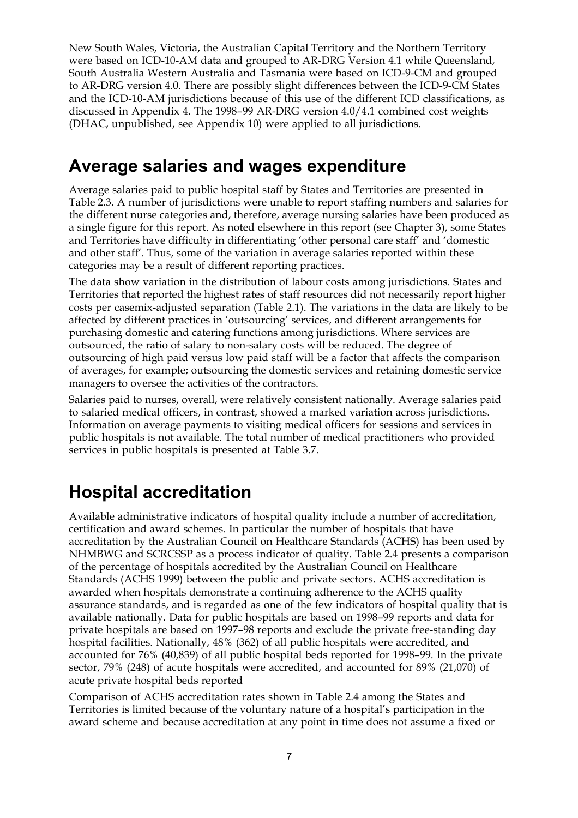New South Wales, Victoria, the Australian Capital Territory and the Northern Territory were based on ICD-10-AM data and grouped to AR-DRG Version 4.1 while Queensland, South Australia Western Australia and Tasmania were based on ICD-9-CM and grouped to AR-DRG version 4.0. There are possibly slight differences between the ICD-9-CM States and the ICD-10-AM jurisdictions because of this use of the different ICD classifications, as discussed in Appendix 4. The 1998–99 AR-DRG version 4.0/4.1 combined cost weights (DHAC, unpublished, see Appendix 10) were applied to all jurisdictions.

#### **Average salaries and wages expenditure**

Average salaries paid to public hospital staff by States and Territories are presented in Table 2.3. A number of jurisdictions were unable to report staffing numbers and salaries for the different nurse categories and, therefore, average nursing salaries have been produced as a single figure for this report. As noted elsewhere in this report (see Chapter 3), some States and Territories have difficulty in differentiating 'other personal care staff' and 'domestic and other staff'. Thus, some of the variation in average salaries reported within these categories may be a result of different reporting practices.

The data show variation in the distribution of labour costs among jurisdictions. States and Territories that reported the highest rates of staff resources did not necessarily report higher costs per casemix-adjusted separation (Table 2.1). The variations in the data are likely to be affected by different practices in 'outsourcing' services, and different arrangements for purchasing domestic and catering functions among jurisdictions. Where services are outsourced, the ratio of salary to non-salary costs will be reduced. The degree of outsourcing of high paid versus low paid staff will be a factor that affects the comparison of averages, for example; outsourcing the domestic services and retaining domestic service managers to oversee the activities of the contractors.

Salaries paid to nurses, overall, were relatively consistent nationally. Average salaries paid to salaried medical officers, in contrast, showed a marked variation across jurisdictions. Information on average payments to visiting medical officers for sessions and services in public hospitals is not available. The total number of medical practitioners who provided services in public hospitals is presented at Table 3.7.

# **Hospital accreditation**

Available administrative indicators of hospital quality include a number of accreditation, certification and award schemes. In particular the number of hospitals that have accreditation by the Australian Council on Healthcare Standards (ACHS) has been used by NHMBWG and SCRCSSP as a process indicator of quality. Table 2.4 presents a comparison of the percentage of hospitals accredited by the Australian Council on Healthcare Standards (ACHS 1999) between the public and private sectors. ACHS accreditation is awarded when hospitals demonstrate a continuing adherence to the ACHS quality assurance standards, and is regarded as one of the few indicators of hospital quality that is available nationally. Data for public hospitals are based on 1998–99 reports and data for private hospitals are based on 1997–98 reports and exclude the private free-standing day hospital facilities. Nationally, 48% (362) of all public hospitals were accredited, and accounted for 76% (40,839) of all public hospital beds reported for 1998–99. In the private sector, 79% (248) of acute hospitals were accredited, and accounted for 89% (21,070) of acute private hospital beds reported

Comparison of ACHS accreditation rates shown in Table 2.4 among the States and Territories is limited because of the voluntary nature of a hospital's participation in the award scheme and because accreditation at any point in time does not assume a fixed or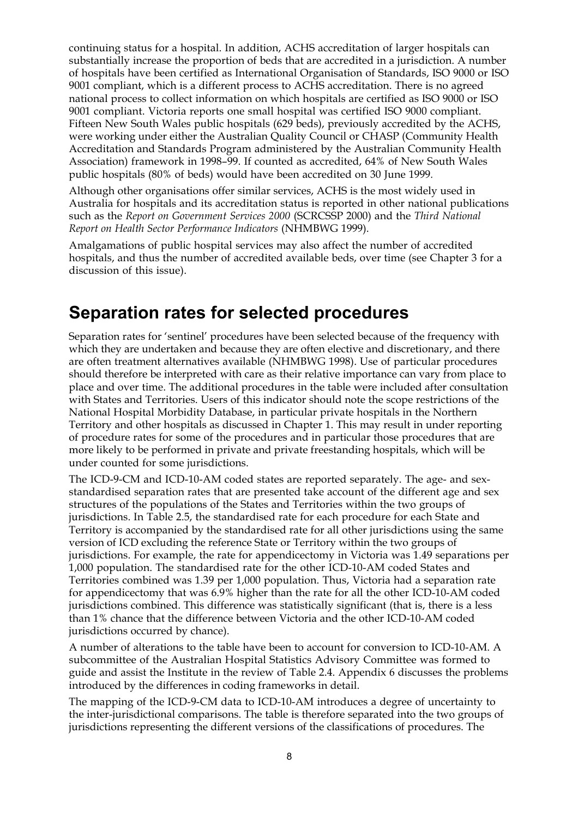continuing status for a hospital. In addition, ACHS accreditation of larger hospitals can substantially increase the proportion of beds that are accredited in a jurisdiction. A number of hospitals have been certified as International Organisation of Standards, ISO 9000 or ISO 9001 compliant, which is a different process to ACHS accreditation. There is no agreed national process to collect information on which hospitals are certified as ISO 9000 or ISO 9001 compliant. Victoria reports one small hospital was certified ISO 9000 compliant. Fifteen New South Wales public hospitals (629 beds), previously accredited by the ACHS, were working under either the Australian Quality Council or CHASP (Community Health Accreditation and Standards Program administered by the Australian Community Health Association) framework in 1998–99. If counted as accredited, 64% of New South Wales public hospitals (80% of beds) would have been accredited on 30 June 1999*.*

Although other organisations offer similar services, ACHS is the most widely used in Australia for hospitals and its accreditation status is reported in other national publications such as the *Report on Government Services 2000* (SCRCSSP 2000) and the *Third National Report on Health Sector Performance Indicators* (NHMBWG 1999).

Amalgamations of public hospital services may also affect the number of accredited hospitals, and thus the number of accredited available beds, over time (see Chapter 3 for a discussion of this issue).

#### **Separation rates for selected procedures**

Separation rates for 'sentinel' procedures have been selected because of the frequency with which they are undertaken and because they are often elective and discretionary, and there are often treatment alternatives available (NHMBWG 1998). Use of particular procedures should therefore be interpreted with care as their relative importance can vary from place to place and over time. The additional procedures in the table were included after consultation with States and Territories. Users of this indicator should note the scope restrictions of the National Hospital Morbidity Database, in particular private hospitals in the Northern Territory and other hospitals as discussed in Chapter 1. This may result in under reporting of procedure rates for some of the procedures and in particular those procedures that are more likely to be performed in private and private freestanding hospitals, which will be under counted for some jurisdictions.

The ICD-9-CM and ICD-10-AM coded states are reported separately. The age- and sexstandardised separation rates that are presented take account of the different age and sex structures of the populations of the States and Territories within the two groups of jurisdictions. In Table 2.5, the standardised rate for each procedure for each State and Territory is accompanied by the standardised rate for all other jurisdictions using the same version of ICD excluding the reference State or Territory within the two groups of jurisdictions. For example, the rate for appendicectomy in Victoria was 1.49 separations per 1,000 population. The standardised rate for the other ICD-10-AM coded States and Territories combined was 1.39 per 1,000 population. Thus, Victoria had a separation rate for appendicectomy that was 6.9% higher than the rate for all the other ICD-10-AM coded jurisdictions combined. This difference was statistically significant (that is, there is a less than 1% chance that the difference between Victoria and the other ICD-10-AM coded jurisdictions occurred by chance).

A number of alterations to the table have been to account for conversion to ICD-10-AM. A subcommittee of the Australian Hospital Statistics Advisory Committee was formed to guide and assist the Institute in the review of Table 2.4. Appendix 6 discusses the problems introduced by the differences in coding frameworks in detail.

The mapping of the ICD-9-CM data to ICD-10-AM introduces a degree of uncertainty to the inter-jurisdictional comparisons. The table is therefore separated into the two groups of jurisdictions representing the different versions of the classifications of procedures. The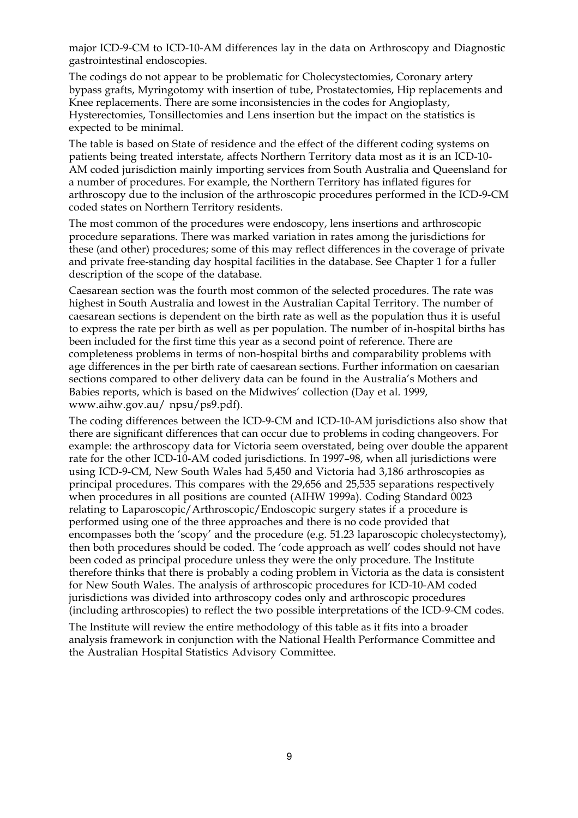major ICD-9-CM to ICD-10-AM differences lay in the data on Arthroscopy and Diagnostic gastrointestinal endoscopies.

The codings do not appear to be problematic for Cholecystectomies, Coronary artery bypass grafts, Myringotomy with insertion of tube, Prostatectomies, Hip replacements and Knee replacements. There are some inconsistencies in the codes for Angioplasty, Hysterectomies, Tonsillectomies and Lens insertion but the impact on the statistics is expected to be minimal.

The table is based on State of residence and the effect of the different coding systems on patients being treated interstate, affects Northern Territory data most as it is an ICD-10- AM coded jurisdiction mainly importing services from South Australia and Queensland for a number of procedures. For example, the Northern Territory has inflated figures for arthroscopy due to the inclusion of the arthroscopic procedures performed in the ICD-9-CM coded states on Northern Territory residents.

The most common of the procedures were endoscopy, lens insertions and arthroscopic procedure separations. There was marked variation in rates among the jurisdictions for these (and other) procedures; some of this may reflect differences in the coverage of private and private free-standing day hospital facilities in the database. See Chapter 1 for a fuller description of the scope of the database.

Caesarean section was the fourth most common of the selected procedures. The rate was highest in South Australia and lowest in the Australian Capital Territory. The number of caesarean sections is dependent on the birth rate as well as the population thus it is useful to express the rate per birth as well as per population. The number of in-hospital births has been included for the first time this year as a second point of reference. There are completeness problems in terms of non-hospital births and comparability problems with age differences in the per birth rate of caesarean sections. Further information on caesarian sections compared to other delivery data can be found in the Australia's Mothers and Babies reports, which is based on the Midwives' collection (Day et al. 1999, www.aihw.gov.au/ npsu/ps9.pdf).

The coding differences between the ICD-9-CM and ICD-10-AM jurisdictions also show that there are significant differences that can occur due to problems in coding changeovers. For example: the arthroscopy data for Victoria seem overstated, being over double the apparent rate for the other ICD-10-AM coded jurisdictions. In 1997–98, when all jurisdictions were using ICD-9-CM, New South Wales had 5,450 and Victoria had 3,186 arthroscopies as principal procedures. This compares with the 29,656 and 25,535 separations respectively when procedures in all positions are counted (AIHW 1999a). Coding Standard 0023 relating to Laparoscopic/Arthroscopic/Endoscopic surgery states if a procedure is performed using one of the three approaches and there is no code provided that encompasses both the 'scopy' and the procedure (e.g. 51.23 laparoscopic cholecystectomy), then both procedures should be coded. The 'code approach as well' codes should not have been coded as principal procedure unless they were the only procedure. The Institute therefore thinks that there is probably a coding problem in Victoria as the data is consistent for New South Wales. The analysis of arthroscopic procedures for ICD-10-AM coded jurisdictions was divided into arthroscopy codes only and arthroscopic procedures (including arthroscopies) to reflect the two possible interpretations of the ICD-9-CM codes.

The Institute will review the entire methodology of this table as it fits into a broader analysis framework in conjunction with the National Health Performance Committee and the Australian Hospital Statistics Advisory Committee.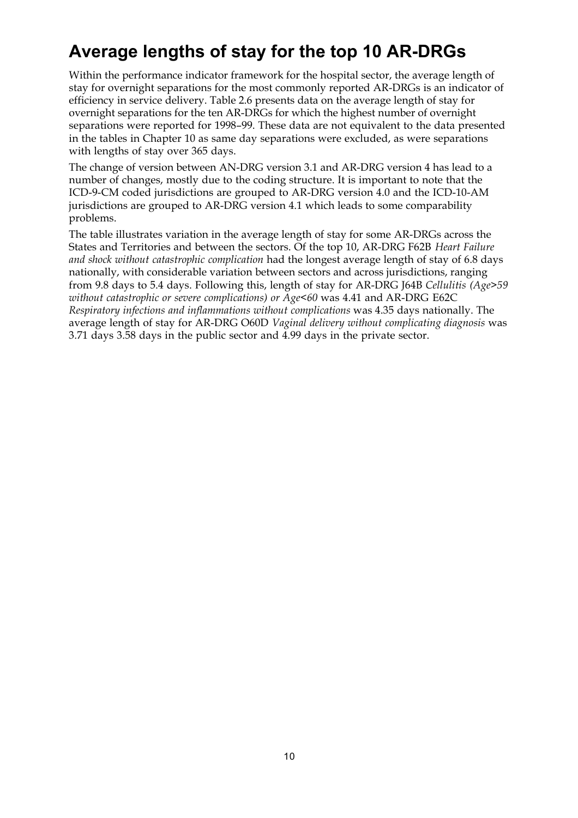# **Average lengths of stay for the top 10 AR-DRGs**

Within the performance indicator framework for the hospital sector, the average length of stay for overnight separations for the most commonly reported AR-DRGs is an indicator of efficiency in service delivery. Table 2.6 presents data on the average length of stay for overnight separations for the ten AR-DRGs for which the highest number of overnight separations were reported for 1998–99. These data are not equivalent to the data presented in the tables in Chapter 10 as same day separations were excluded, as were separations with lengths of stay over 365 days.

The change of version between AN-DRG version 3.1 and AR-DRG version 4 has lead to a number of changes, mostly due to the coding structure. It is important to note that the ICD-9-CM coded jurisdictions are grouped to AR-DRG version 4.0 and the ICD-10-AM jurisdictions are grouped to AR-DRG version 4.1 which leads to some comparability problems.

The table illustrates variation in the average length of stay for some AR-DRGs across the States and Territories and between the sectors. Of the top 10, AR-DRG F62B *Heart Failure and shock without catastrophic complication* had the longest average length of stay of 6.8 days nationally, with considerable variation between sectors and across jurisdictions, ranging from 9.8 days to 5.4 days. Following this, length of stay for AR-DRG J64B *Cellulitis (Age>59 without catastrophic or severe complications) or Age<60* was 4.41 and AR-DRG E62C *Respiratory infections and inflammations without complications* was 4.35 days nationally. The average length of stay for AR-DRG O60D *Vaginal delivery without complicating diagnosis* was 3.71 days 3.58 days in the public sector and 4.99 days in the private sector.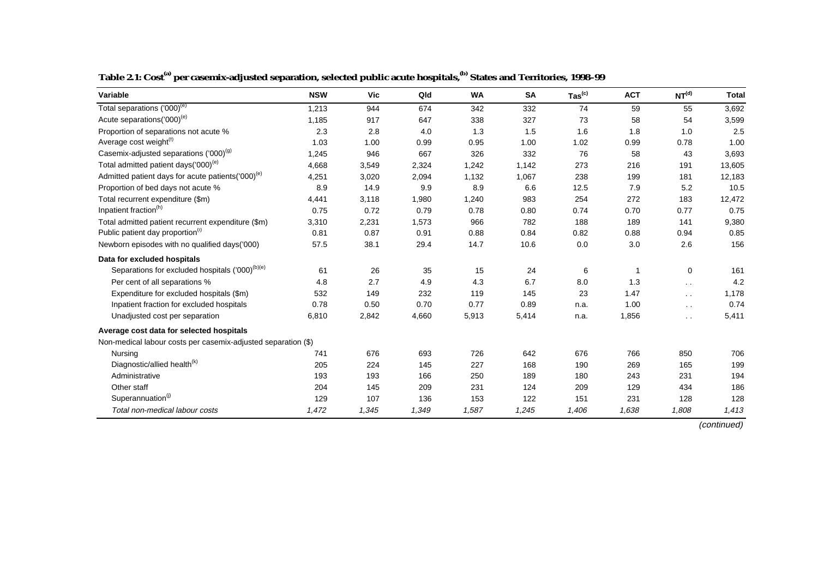| Variable                                                      | <b>NSW</b> | Vic   | Qld   | <b>WA</b> | <b>SA</b> | $\mathsf{ Tas}^{\mathsf{(c)}}$ | <b>ACT</b> | NT <sup>(d)</sup>    | <b>Total</b> |
|---------------------------------------------------------------|------------|-------|-------|-----------|-----------|--------------------------------|------------|----------------------|--------------|
| Total separations ('000) <sup>(e)</sup>                       | 1,213      | 944   | 674   | 342       | 332       | 74                             | 59         | 55                   | 3,692        |
| Acute separations('000) <sup>(e)</sup>                        | 1,185      | 917   | 647   | 338       | 327       | 73                             | 58         | 54                   | 3,599        |
| Proportion of separations not acute %                         | 2.3        | 2.8   | 4.0   | 1.3       | 1.5       | 1.6                            | 1.8        | 1.0                  | 2.5          |
| Average cost weight(f)                                        | 1.03       | 1.00  | 0.99  | 0.95      | 1.00      | 1.02                           | 0.99       | 0.78                 | 1.00         |
| Casemix-adjusted separations ('000) <sup>(g)</sup>            | 1,245      | 946   | 667   | 326       | 332       | 76                             | 58         | 43                   | 3,693        |
| Total admitted patient days('000) <sup>(e)</sup>              | 4,668      | 3,549 | 2,324 | 1,242     | 1,142     | 273                            | 216        | 191                  | 13,605       |
| Admitted patient days for acute patients('000) <sup>(e)</sup> | 4,251      | 3,020 | 2,094 | 1,132     | 1,067     | 238                            | 199        | 181                  | 12,183       |
| Proportion of bed days not acute %                            | 8.9        | 14.9  | 9.9   | 8.9       | 6.6       | 12.5                           | 7.9        | 5.2                  | 10.5         |
| Total recurrent expenditure (\$m)                             | 4,441      | 3,118 | 1,980 | 1,240     | 983       | 254                            | 272        | 183                  | 12,472       |
| Inpatient fraction <sup>(h)</sup>                             | 0.75       | 0.72  | 0.79  | 0.78      | 0.80      | 0.74                           | 0.70       | 0.77                 | 0.75         |
| Total admitted patient recurrent expenditure (\$m)            | 3,310      | 2,231 | 1,573 | 966       | 782       | 188                            | 189        | 141                  | 9,380        |
| Public patient day proportion <sup>(i)</sup>                  | 0.81       | 0.87  | 0.91  | 0.88      | 0.84      | 0.82                           | 0.88       | 0.94                 | 0.85         |
| Newborn episodes with no qualified days('000)                 | 57.5       | 38.1  | 29.4  | 14.7      | 10.6      | 0.0                            | 3.0        | 2.6                  | 156          |
| Data for excluded hospitals                                   |            |       |       |           |           |                                |            |                      |              |
| Separations for excluded hospitals ('000) <sup>(b)(e)</sup>   | 61         | 26    | 35    | 15        | 24        | 6                              |            | 0                    | 161          |
| Per cent of all separations %                                 | 4.8        | 2.7   | 4.9   | 4.3       | 6.7       | 8.0                            | 1.3        | $\ddot{\phantom{0}}$ | 4.2          |
| Expenditure for excluded hospitals (\$m)                      | 532        | 149   | 232   | 119       | 145       | 23                             | 1.47       | $\ddot{\phantom{1}}$ | 1,178        |
| Inpatient fraction for excluded hospitals                     | 0.78       | 0.50  | 0.70  | 0.77      | 0.89      | n.a.                           | 1.00       | $\sim$ $\sim$        | 0.74         |
| Unadjusted cost per separation                                | 6,810      | 2,842 | 4,660 | 5,913     | 5,414     | n.a.                           | 1,856      | $\ddot{\phantom{0}}$ | 5,411        |
| Average cost data for selected hospitals                      |            |       |       |           |           |                                |            |                      |              |
| Non-medical labour costs per casemix-adjusted separation (\$) |            |       |       |           |           |                                |            |                      |              |
| Nursing                                                       | 741        | 676   | 693   | 726       | 642       | 676                            | 766        | 850                  | 706          |
| Diagnostic/allied health <sup>(k)</sup>                       | 205        | 224   | 145   | 227       | 168       | 190                            | 269        | 165                  | 199          |
| Administrative                                                | 193        | 193   | 166   | 250       | 189       | 180                            | 243        | 231                  | 194          |
| Other staff                                                   | 204        | 145   | 209   | 231       | 124       | 209                            | 129        | 434                  | 186          |
| Superannuation <sup>(j)</sup>                                 | 129        | 107   | 136   | 153       | 122       | 151                            | 231        | 128                  | 128          |
| Total non-medical labour costs                                | 1,472      | 1,345 | 1,349 | 1,587     | 1,245     | 1,406                          | 1,638      | 1,808                | 1,413        |

**Table 2.1: Cost(a) per casemix-adjusted separation, selected public acute hospitals,(b) States and Territories, 1998–99**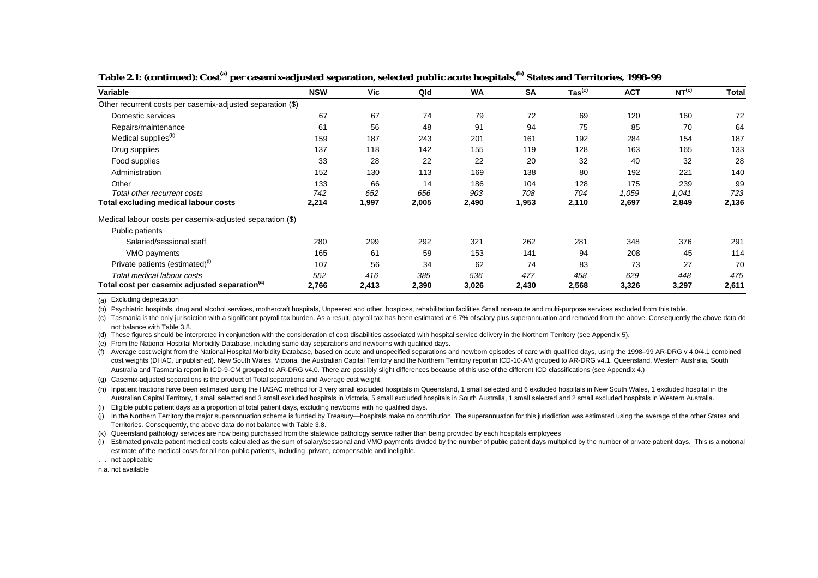| Variable                                                   | <b>NSW</b> | Vic   | Qld   | <b>WA</b> | <b>SA</b> | $\mathsf{ Tas}^{\mathsf{(c)}}$ | <b>ACT</b> | NT <sup>(c)</sup> | <b>Total</b> |
|------------------------------------------------------------|------------|-------|-------|-----------|-----------|--------------------------------|------------|-------------------|--------------|
| Other recurrent costs per casemix-adjusted separation (\$) |            |       |       |           |           |                                |            |                   |              |
| Domestic services                                          | 67         | 67    | 74    | 79        | 72        | 69                             | 120        | 160               | 72           |
| Repairs/maintenance                                        | 61         | 56    | 48    | 91        | 94        | 75                             | 85         | 70                | 64           |
| Medical supplies <sup>(k)</sup>                            | 159        | 187   | 243   | 201       | 161       | 192                            | 284        | 154               | 187          |
| Drug supplies                                              | 137        | 118   | 142   | 155       | 119       | 128                            | 163        | 165               | 133          |
| Food supplies                                              | 33         | 28    | 22    | 22        | 20        | 32                             | 40         | 32                | 28           |
| Administration                                             | 152        | 130   | 113   | 169       | 138       | 80                             | 192        | 221               | 140          |
| Other                                                      | 133        | 66    | 14    | 186       | 104       | 128                            | 175        | 239               | 99           |
| Total other recurrent costs                                | 742        | 652   | 656   | 903       | 708       | 704                            | 1,059      | 1,041             | 723          |
| <b>Total excluding medical labour costs</b>                | 2,214      | 1,997 | 2,005 | 2,490     | 1,953     | 2,110                          | 2,697      | 2,849             | 2,136        |
| Medical labour costs per casemix-adjusted separation (\$)  |            |       |       |           |           |                                |            |                   |              |
| Public patients                                            |            |       |       |           |           |                                |            |                   |              |
| Salaried/sessional staff                                   | 280        | 299   | 292   | 321       | 262       | 281                            | 348        | 376               | 291          |
| VMO payments                                               | 165        | 61    | 59    | 153       | 141       | 94                             | 208        | 45                | 114          |
| Private patients (estimated) <sup>(1)</sup>                | 107        | 56    | 34    | 62        | 74        | 83                             | 73         | 27                | 70           |
| Total medical labour costs                                 | 552        | 416   | 385   | 536       | 477       | 458                            | 629        | 448               | 475          |
| Total cost per casemix adjusted separation <sup>(a)</sup>  | 2,766      | 2,413 | 2,390 | 3,026     | 2,430     | 2,568                          | 3,326      | 3,297             | 2,611        |

**Table 2.1: (continued): Cost(a) per casemix-adjusted separation, selected public acute hospitals,(b) States and Territories, 1998–99**

(a) Excluding depreciation

(b) Psychiatric hospitals, drug and alcohol services, mothercraft hospitals, Unpeered and other, hospices, rehabilitation facilities Small non-acute and multi-purpose services excluded from this table.

(c) Tasmania is the only jurisdiction with a significant payroll tax burden. As a result, payroll tax has been estimated at 6.7% of salary plus superannuation and removed from the above. Consequently the above data do not balance with Table 3.8.

(d) These figures should be interpreted in conjunction with the consideration of cost disabilities associated with hospital service delivery in the Northern Territory (see Appendix 5).

(e) From the National Hospital Morbidity Database, including same day separations and newborns with qualified days.

(f) Average cost weight from the National Hospital Morbidity Database, based on acute and unspecified separations and newborn episodes of care with qualified days, using the 1998–99 AR-DRG v 4.0/4.1 combined cost weights (DHAC, unpublished). New South Wales, Victoria, the Australian Capital Territory and the Northern Territory report in ICD-10-AM grouped to AR-DRG v4.1. Queensland, Western Australia, South Australia and Tasmania report in ICD-9-CM grouped to AR-DRG v4.0. There are possibly slight differences because of this use of the different ICD classifications (see Appendix 4.)

(g) Casemix-adjusted separations is the product of Total separations and Average cost weight.

(h) Inpatient fractions have been estimated using the HASAC method for 3 very small excluded hospitals in Queensland, 1 small selected and 6 excluded hospitals in New South Wales, 1 excluded hospital in the Australian Capital Territory, 1 small selected and 3 small excluded hospitals in Victoria, 5 small excluded hospitals in South Australia, 1 small selected and 2 small excluded hospitals in Western Australia.

(i) Eligible public patient days as a proportion of total patient days, excluding newborns with no qualified days.

(j) In the Northern Territory the major superannuation scheme is funded by Treasury—hospitals make no contribution. The superannuation for this jurisdiction was estimated using the average of the other States and Territories. Consequently, the above data do not balance with Table 3.8.

(k) Queensland pathology services are now being purchased from the statewide pathology service rather than being provided by each hospitals employees

(l) Estimated private patient medical costs calculated as the sum of salary/sessional and VMO payments divided by the number of public patient days multiplied by the number of private patient days. This is a notional estimate of the medical costs for all non-public patients, including private, compensable and ineligible.

. . not applicable

n.a. not available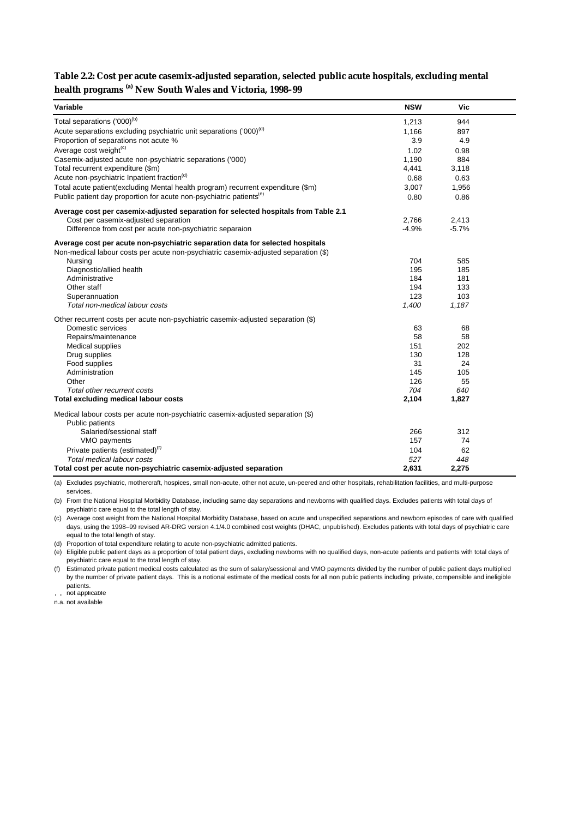#### **Table 2.2: Cost per acute casemix-adjusted separation, selected public acute hospitals, excluding mental health programs (a) New South Wales and Victoria, 1998–99**

| Variable                                                                                                                                                             | <b>NSW</b> | Vic       |  |
|----------------------------------------------------------------------------------------------------------------------------------------------------------------------|------------|-----------|--|
| Total separations ('000) <sup>(b)</sup>                                                                                                                              | 1,213      | 944       |  |
| Acute separations excluding psychiatric unit separations ('000) <sup>(d)</sup>                                                                                       | 1,166      | 897       |  |
| Proportion of separations not acute %                                                                                                                                | 3.9        | 4.9       |  |
| Average cost weight <sup>(c)</sup>                                                                                                                                   | 1.02       | 0.98      |  |
| Casemix-adjusted acute non-psychiatric separations ('000)                                                                                                            | 1,190      | 884       |  |
| Total recurrent expenditure (\$m)                                                                                                                                    | 4,441      | 3,118     |  |
| Acute non-psychiatric Inpatient fraction <sup>(d)</sup>                                                                                                              | 0.68       | 0.63      |  |
| Total acute patient(excluding Mental health program) recurrent expenditure (\$m)                                                                                     | 3,007      | 1,956     |  |
| Public patient day proportion for acute non-psychiatric patients <sup>(e)</sup>                                                                                      | 0.80       | 0.86      |  |
| Average cost per casemix-adjusted separation for selected hospitals from Table 2.1                                                                                   |            |           |  |
| Cost per casemix-adjusted separation                                                                                                                                 | 2,766      | 2,413     |  |
| Difference from cost per acute non-psychiatric separaion                                                                                                             | $-4.9%$    | $-5.7%$   |  |
| Average cost per acute non-psychiatric separation data for selected hospitals<br>Non-medical labour costs per acute non-psychiatric casemix-adjusted separation (\$) |            |           |  |
| Nursing                                                                                                                                                              | 704        | 585       |  |
| Diagnostic/allied health                                                                                                                                             | 195        | 185       |  |
| Administrative                                                                                                                                                       | 184        | 181       |  |
| Other staff                                                                                                                                                          | 194        | 133       |  |
| Superannuation                                                                                                                                                       | 123        | 103       |  |
| Total non-medical labour costs                                                                                                                                       | 1,400      | 1,187     |  |
| Other recurrent costs per acute non-psychiatric casemix-adjusted separation (\$)                                                                                     |            |           |  |
| Domestic services                                                                                                                                                    | 63         | 68        |  |
| Repairs/maintenance                                                                                                                                                  | 58         | 58        |  |
| Medical supplies                                                                                                                                                     | 151        | 202       |  |
| Drug supplies                                                                                                                                                        | 130        | 128       |  |
| Food supplies                                                                                                                                                        | 31         | 24        |  |
| Administration<br>Other                                                                                                                                              | 145<br>126 | 105<br>55 |  |
| Total other recurrent costs                                                                                                                                          | 704        | 640       |  |
| Total excluding medical labour costs                                                                                                                                 | 2,104      | 1,827     |  |
|                                                                                                                                                                      |            |           |  |
| Medical labour costs per acute non-psychiatric casemix-adjusted separation (\$)<br><b>Public patients</b>                                                            |            |           |  |
| Salaried/sessional staff                                                                                                                                             | 266        | 312       |  |
| VMO payments                                                                                                                                                         | 157        | 74        |  |
| Private patients (estimated) <sup>(f)</sup>                                                                                                                          | 104        | 62        |  |
| Total medical labour costs                                                                                                                                           | 527        | 448       |  |
| Total cost per acute non-psychiatric casemix-adjusted separation                                                                                                     | 2,631      | 2,275     |  |

(a) Excludes psychiatric, mothercraft, hospices, small non-acute, other not acute, un-peered and other hospitals, rehabilitation facilities, and multi-purpose services.

(b) From the National Hospital Morbidity Database, including same day separations and newborns with qualified days. Excludes patients with total days of psychiatric care equal to the total length of stay.

(c) Average cost weight from the National Hospital Morbidity Database, based on acute and unspecified separations and newborn episodes of care with qualified days, using the 1998–99 revised AR-DRG version 4.1/4.0 combined cost weights (DHAC, unpublished). Excludes patients with total days of psychiatric care equal to the total length of stay.

(d) Proportion of total expenditure relating to acute non-psychiatric admitted patients.

(e) Eligible public patient days as a proportion of total patient days, excluding newborns with no qualified days, non-acute patients and patients with total days of psychiatric care equal to the total length of stay.

(f) Estimated private patient medical costs calculated as the sum of salary/sessional and VMO payments divided by the number of public patient days multiplied by the number of private patient days. This is a notional estimate of the medical costs for all non public patients including private, compensible and ineligible patients.

. . not applicable

n.a. not available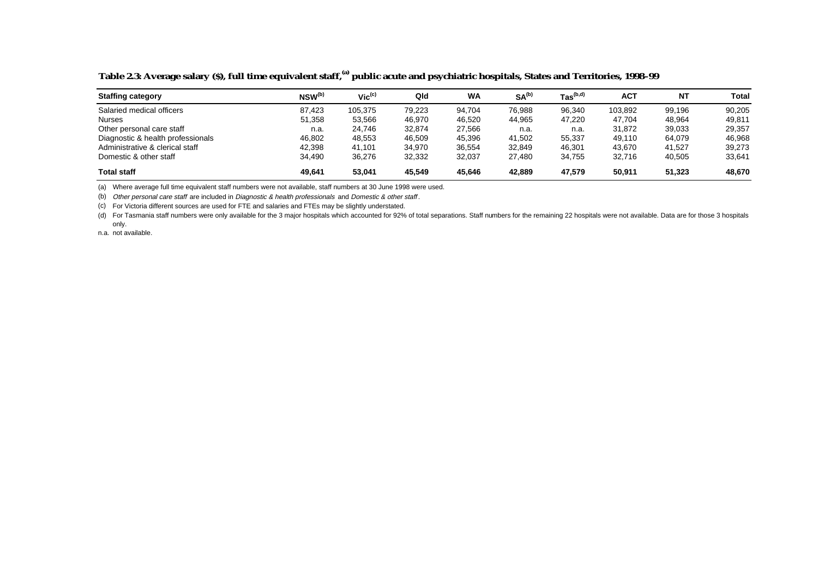| <b>Staffing category</b>          | $NSW^{(b)}$ | $Vic^{(c)}$ | Qld    | <b>WA</b> | SA <sup>(b)</sup> | $\text{ Tas}^{\text{(b,d)}}$ | AC1     | <b>NT</b> | Total  |
|-----------------------------------|-------------|-------------|--------|-----------|-------------------|------------------------------|---------|-----------|--------|
| Salaried medical officers         | 87.423      | 105,375     | 79.223 | 94,704    | 76,988            | 96,340                       | 103,892 | 99.196    | 90,205 |
| <b>Nurses</b>                     | 51,358      | 53,566      | 46,970 | 46,520    | 44,965            | 47,220                       | 47,704  | 48,964    | 49,811 |
| Other personal care staff         | n.a.        | 24.746      | 32.874 | 27,566    | n.a.              | n.a.                         | 31.872  | 39,033    | 29,357 |
| Diagnostic & health professionals | 46,802      | 48,553      | 46,509 | 45,396    | 41.502            | 55,337                       | 49,110  | 64,079    | 46,968 |
| Administrative & clerical staff   | 42.398      | 41.101      | 34,970 | 36,554    | 32,849            | 46,301                       | 43.670  | 41.527    | 39,273 |
| Domestic & other staff            | 34,490      | 36,276      | 32,332 | 32,037    | 27.480            | 34,755                       | 32,716  | 40,505    | 33,641 |
| <b>Total staff</b>                | 49,641      | 53,041      | 45.549 | 45,646    | 42,889            | 47,579                       | 50,911  | 51,323    | 48,670 |

#### **Table 2.3: Average salary (\$), full time equivalent staff,(a) public acute and psychiatric hospitals, States and Territories, 1998–99**

(a) Where average full time equivalent staff numbers were not available, staff numbers at 30 June 1998 were used.

(b) Other personal care staff are included in Diagnostic & health professionals and Domestic & other staff .

(c) For Victoria different sources are used for FTE and salaries and FTEs may be slightly understated.

(d) For Tasmania staff numbers were only available for the 3 major hospitals which accounted for 92% of total separations. Staff numbers for the remaining 22 hospitals were not available. Data are for those 3 hospitals only.

n.a. not available.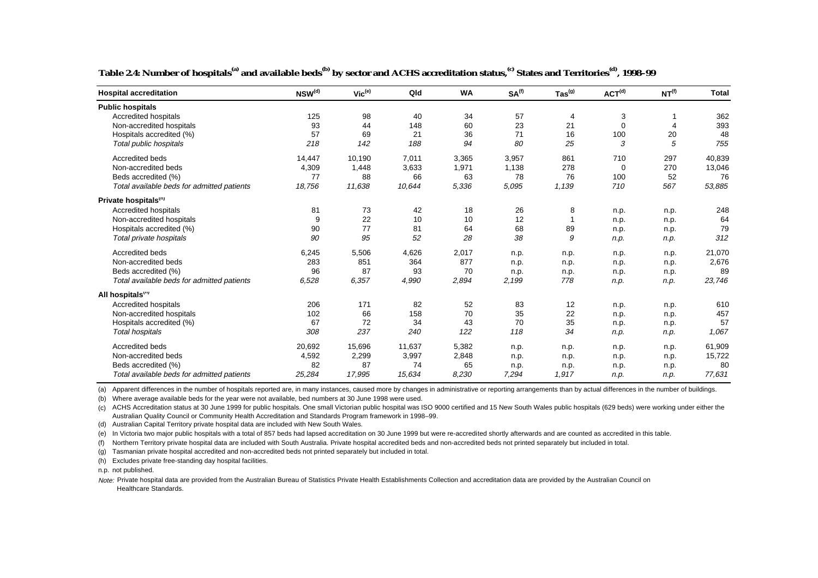| <b>Hospital accreditation</b>              | NSW <sup>(d)</sup> | $Vic^{(e)}$ | Qld    | <b>WA</b> | SA <sup>(f)</sup> | $\mathsf{ Tas}^{(\textsf{g})}$ | ACT <sup>(d)</sup> | NT <sup>(f)</sup> | <b>Total</b> |
|--------------------------------------------|--------------------|-------------|--------|-----------|-------------------|--------------------------------|--------------------|-------------------|--------------|
| <b>Public hospitals</b>                    |                    |             |        |           |                   |                                |                    |                   |              |
| Accredited hospitals                       | 125                | 98          | 40     | 34        | 57                | 4                              | 3                  |                   | 362          |
| Non-accredited hospitals                   | 93                 | 44          | 148    | 60        | 23                | 21                             | $\mathbf 0$        | $\overline{4}$    | 393          |
| Hospitals accredited (%)                   | 57                 | 69          | 21     | 36        | 71                | 16                             | 100                | 20                | 48           |
| Total public hospitals                     | 218                | 142         | 188    | 94        | 80                | 25                             | 3                  | 5                 | 755          |
| Accredited beds                            | 14,447             | 10,190      | 7,011  | 3,365     | 3,957             | 861                            | 710                | 297               | 40,839       |
| Non-accredited beds                        | 4,309              | 1,448       | 3,633  | 1,971     | 1,138             | 278                            | 0                  | 270               | 13,046       |
| Beds accredited (%)                        | 77                 | 88          | 66     | 63        | 78                | 76                             | 100                | 52                | 76           |
| Total available beds for admitted patients | 18,756             | 11,638      | 10,644 | 5,336     | 5,095             | 1,139                          | 710                | 567               | 53,885       |
| Private hospitals"                         |                    |             |        |           |                   |                                |                    |                   |              |
| Accredited hospitals                       | 81                 | 73          | 42     | 18        | 26                | 8                              | n.p.               | n.p.              | 248          |
| Non-accredited hospitals                   | 9                  | 22          | 10     | 10        | 12                | $\overline{1}$                 | n.p.               | n.p.              | 64           |
| Hospitals accredited (%)                   | 90                 | 77          | 81     | 64        | 68                | 89                             | n.p.               | n.p.              | 79           |
| Total private hospitals                    | 90                 | 95          | 52     | 28        | 38                | 9                              | n.p.               | n.p.              | 312          |
| Accredited beds                            | 6,245              | 5,506       | 4,626  | 2,017     | n.p.              | n.p.                           | n.p.               | n.p.              | 21,070       |
| Non-accredited beds                        | 283                | 851         | 364    | 877       | n.p.              | n.p.                           | n.p.               | n.p.              | 2,676        |
| Beds accredited (%)                        | 96                 | 87          | 93     | 70        | n.p.              | n.p.                           | n.p.               | n.p.              | 89           |
| Total available beds for admitted patients | 6,528              | 6,357       | 4,990  | 2,894     | 2,199             | 778                            | n.p.               | n.p.              | 23,746       |
| All hospitals""                            |                    |             |        |           |                   |                                |                    |                   |              |
| <b>Accredited hospitals</b>                | 206                | 171         | 82     | 52        | 83                | 12                             | n.p.               | n.p.              | 610          |
| Non-accredited hospitals                   | 102                | 66          | 158    | 70        | 35                | 22                             | n.p.               | n.p.              | 457          |
| Hospitals accredited (%)                   | 67                 | 72          | 34     | 43        | 70                | 35                             | n.p.               | n.p.              | 57           |
| <b>Total hospitals</b>                     | 308                | 237         | 240    | 122       | 118               | 34                             | n.p.               | n.p.              | 1.067        |
| Accredited beds                            | 20,692             | 15,696      | 11,637 | 5,382     | n.p.              | n.p.                           | n.p.               | n.p.              | 61,909       |
| Non-accredited beds                        | 4,592              | 2,299       | 3,997  | 2,848     | n.p.              | n.p.                           | n.p.               | n.p.              | 15,722       |
| Beds accredited (%)                        | 82                 | 87          | 74     | 65        | n.p.              | n.p.                           | n.p.               | n.p.              | 80           |
| Total available beds for admitted patients | 25.284             | 17.995      | 15.634 | 8.230     | 7,294             | 1,917                          | n.p.               | n.p.              | 77,631       |

Table 2.4: Number of hospitals<sup>(a)</sup> and available beds<sup>(b)</sup> by sector and ACHS accreditation status,<sup>(c)</sup> States and Territories<sup>(d)</sup>, 1998–99

(a) Apparent differences in the number of hospitals reported are, in many instances, caused more by changes in administrative or reporting arrangements than by actual differences in the number of buildings.

(b) Where average available beds for the year were not available, bed numbers at 30 June 1998 were used.

(c) ACHS Accreditation status at 30 June 1999 for public hospitals. One small Victorian public hospital was ISO 9000 certified and 15 New South Wales public hospitals (629 beds) were working under either the Australian Quality Council or Community Health Accreditation and Standards Program framework in 1998–99.

(d) Australian Capital Territory private hospital data are included with New South Wales.

(e) In Victoria two major public hospitals with a total of 857 beds had lapsed accreditation on 30 June 1999 but were re-accredited shortly afterwards and are counted as accredited in this table.

(f) Northern Territory private hospital data are included with South Australia. Private hospital accredited beds and non-accredited beds not printed separately but included in total.

(g) Tasmanian private hospital accredited and non-accredited beds not printed separately but included in total.

(h) Excludes private free-standing day hospital facilities.

n.p. not published.

Note: Private hospital data are provided from the Australian Bureau of Statistics Private Health Establishments Collection and accreditation data are provided by the Australian Council on Healthcare Standards.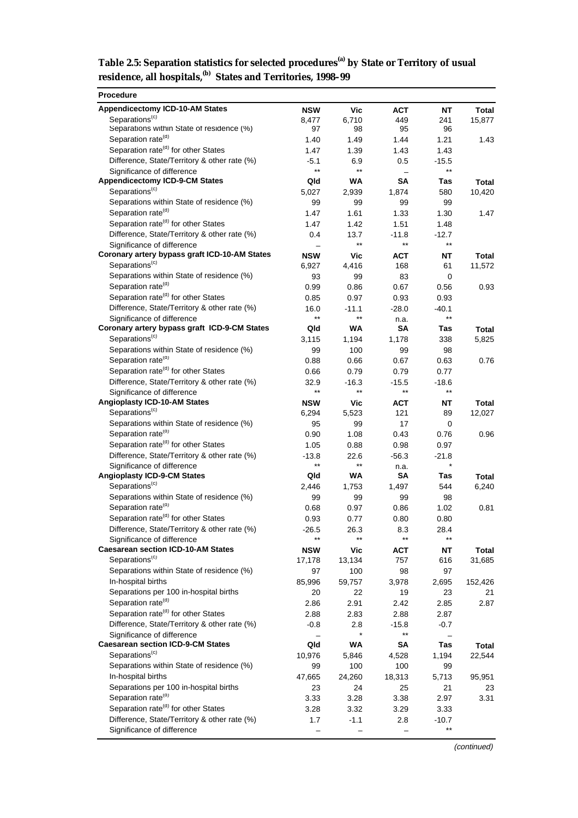| Table 2.5: Separation statistics for selected procedures <sup>(a)</sup> by State or Territory of usual |
|--------------------------------------------------------------------------------------------------------|
| residence, all hospitals, <sup>(b)</sup> States and Territories, 1998-99                               |

| <b>Procedure</b>                                                            |                 |                          |                 |                 |         |
|-----------------------------------------------------------------------------|-----------------|--------------------------|-----------------|-----------------|---------|
| <b>Appendicectomy ICD-10-AM States</b>                                      | <b>NSW</b>      | Vic                      | <b>ACT</b>      | <b>NT</b>       | Total   |
| Separations <sup>(c)</sup>                                                  | 8,477           | 6,710                    | 449             | 241             | 15,877  |
| Separations within State of residence (%)                                   | 97              | 98                       | 95              | 96              |         |
| Separation rate <sup>(d)</sup>                                              | 1.40            | 1.49                     | 1.44            | 1.21            | 1.43    |
| Separation rate <sup>(d)</sup> for other States                             | 1.47            | 1.39                     | 1.43            | 1.43            |         |
| Difference, State/Territory & other rate (%)                                | $-5.1$          | 6.9                      | 0.5             | $-15.5$         |         |
| Significance of difference                                                  | $^{\star\star}$ | $\star\star$             |                 | $***$           |         |
| <b>Appendicectomy ICD-9-CM States</b><br>Separations <sup>(c)</sup>         | Qld             | <b>WA</b>                | SΑ              | Tas             | Total   |
|                                                                             | 5,027           | 2,939                    | 1,874           | 580             | 10,420  |
| Separations within State of residence (%)<br>Separation rate <sup>(d)</sup> | 99              | 99                       | 99              | 99              |         |
| Separation rate <sup>(d)</sup> for other States                             | 1.47<br>1.47    | 1.61<br>1.42             | 1.33<br>1.51    | 1.30<br>1.48    | 1.47    |
| Difference, State/Territory & other rate (%)                                | 0.4             | 13.7                     | $-11.8$         | $-12.7$         |         |
| Significance of difference                                                  |                 | $^{\star\star}$          | $***$           | $***$           |         |
| Coronary artery bypass graft ICD-10-AM States                               | <b>NSW</b>      | Vic                      | <b>ACT</b>      | NT              | Total   |
| Separations <sup>(c)</sup>                                                  | 6,927           | 4,416                    | 168             | 61              | 11,572  |
| Separations within State of residence (%)                                   | 93              | 99                       | 83              | 0               |         |
| Separation rate <sup>(d)</sup>                                              | 0.99            | 0.86                     | 0.67            | 0.56            | 0.93    |
| Separation rate <sup>(a)</sup> for other States                             | 0.85            | 0.97                     | 0.93            | 0.93            |         |
| Difference, State/Territory & other rate (%)                                | 16.0            | $-11.1$                  | $-28.0$         | -40.1           |         |
| Significance of difference                                                  | $***$           | $\star\star$             | n.a.            | $***$           |         |
| Coronary artery bypass graft ICD-9-CM States                                | Qld             | <b>WA</b>                | SΑ              | Tas             | Total   |
| Separations <sup>(c)</sup>                                                  | 3,115           | 1,194                    | 1,178           | 338             | 5,825   |
| Separations within State of residence (%)                                   | 99              | 100                      | 99              | 98              |         |
| Separation rate <sup>(d)</sup>                                              | 0.88            | 0.66                     | 0.67            | 0.63            | 0.76    |
| Separation rate <sup>(d)</sup> for other States                             | 0.66            | 0.79                     | 0.79            | 0.77            |         |
| Difference, State/Territory & other rate (%)                                | 32.9            | $-16.3$                  | $-15.5$         | $-18.6$         |         |
| Significance of difference                                                  | $^{\star\star}$ | $\star\star$             | $^{\star\star}$ | $***$           |         |
| Angioplasty ICD-10-AM States                                                | <b>NSW</b>      | Vic                      | <b>ACT</b>      | NT              | Total   |
| Separations <sup>(c)</sup>                                                  | 6,294           | 5,523                    | 121             | 89              | 12,027  |
| Separations within State of residence (%)                                   | 95              | 99                       | 17              | 0               |         |
| Separation rate <sup>(d)</sup>                                              | 0.90            | 1.08                     | 0.43            | 0.76            | 0.96    |
| Separation rate <sup>(d)</sup> for other States                             | 1.05            | 0.88                     | 0.98            | 0.97            |         |
| Difference, State/Territory & other rate (%)                                | $-13.8$         | 22.6                     | $-56.3$         | $-21.8$         |         |
| Significance of difference                                                  | $^{\star\star}$ | $***$                    | n.a.            | $\star$         |         |
| <b>Angioplasty ICD-9-CM States</b><br>Separations <sup>(c)</sup>            | Qld             | WA                       | SΑ              | Tas             | Total   |
|                                                                             | 2,446           | 1,753                    | 1,497           | 544             | 6,240   |
| Separations within State of residence (%)<br>Separation rate <sup>(d)</sup> | 99              | 99                       | 99              | 98              |         |
| Separation rate <sup>(d)</sup> for other States                             | 0.68            | 0.97                     | 0.86            | 1.02            | 0.81    |
| Difference, State/Territory & other rate (%)                                | 0.93            | 0.77                     | 0.80            | 0.80            |         |
| Significance of difference                                                  | -26.5<br>$***$  | 26.3<br>$***$            | 8.3<br>$***$    | 28.4<br>$***$   |         |
| <b>Caesarean section ICD-10-AM States</b>                                   | <b>NSW</b>      | Vic                      | <b>ACT</b>      | <b>NT</b>       | Total   |
| Separations <sup>(c)</sup>                                                  | 17,178          | 13,134                   | 757             | 616             | 31,685  |
| Separations within State of residence (%)                                   | 97              | 100                      | 98              | 97              |         |
| In-hospital births                                                          | 85,996          | 59,757                   | 3,978           | 2,695           | 152,426 |
| Separations per 100 in-hospital births                                      | 20              | 22                       | 19              | 23              | 21      |
| Separation rate <sup>(d)</sup>                                              | 2.86            | 2.91                     | 2.42            | 2.85            | 2.87    |
| Separation rate <sup>(d)</sup> for other States                             | 2.88            | 2.83                     | 2.88            | 2.87            |         |
| Difference, State/Territory & other rate (%)                                | $-0.8$          | 2.8                      | $-15.8$         | $-0.7$          |         |
| Significance of difference                                                  |                 | $\star$                  | $^{\star\star}$ |                 |         |
| <b>Caesarean section ICD-9-CM States</b>                                    | Qld             | WA                       | SA              | Tas             | Total   |
| Separations <sup>(c)</sup>                                                  | 10,976          | 5,846                    | 4,528           | 1,194           | 22,544  |
| Separations within State of residence (%)                                   | 99              | 100                      | 100             | 99              |         |
| In-hospital births                                                          | 47,665          | 24,260                   | 18,313          | 5,713           | 95,951  |
| Separations per 100 in-hospital births                                      | 23              | 24                       | 25              | 21              | 23      |
| Separation rate <sup>(d)</sup>                                              | 3.33            | 3.28                     | 3.38            | 2.97            | 3.31    |
| Separation rate <sup>(d)</sup> for other States                             | 3.28            | 3.32                     | 3.29            | 3.33            |         |
| Difference, State/Territory & other rate (%)                                | 1.7             | $-1.1$                   | 2.8             | $-10.7$         |         |
| Significance of difference                                                  |                 | $\overline{\phantom{0}}$ |                 | $^{\star\star}$ |         |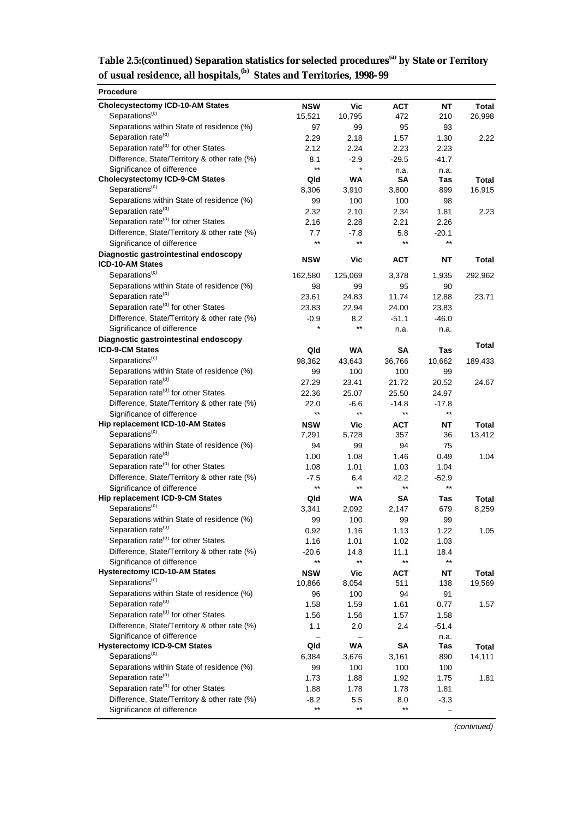| Table 2.5: (continued) Separation statistics for selected procedures <sup>(a)</sup> by State or Territory |  |
|-----------------------------------------------------------------------------------------------------------|--|
| of usual residence, all hospitals, <sup>(b)</sup> States and Territories, 1998-99                         |  |

| <b>Procedure</b>                                                            |                 |                         |                 |                      |                 |
|-----------------------------------------------------------------------------|-----------------|-------------------------|-----------------|----------------------|-----------------|
| <b>Cholecystectomy ICD-10-AM States</b>                                     | <b>NSW</b>      | <b>Vic</b>              | <b>ACT</b>      | <b>NT</b>            | Total           |
| Separations <sup>(c)</sup>                                                  | 15,521          | 10,795                  | 472             | 210                  | 26,998          |
| Separations within State of residence (%)                                   | 97              | 99                      | 95              | 93                   |                 |
| Separation rate <sup>(d)</sup>                                              | 2.29            | 2.18                    | 1.57            | 1.30                 | 2.22            |
| Separation rate <sup>(d)</sup> for other States                             | 2.12            | 2.24                    | 2.23            | 2.23                 |                 |
| Difference, State/Territory & other rate (%)                                | 8.1             | $-2.9$                  | $-29.5$         | $-41.7$              |                 |
| Significance of difference                                                  | $\star\star$    |                         | n.a.            | n.a.                 |                 |
| <b>Cholecystectomy ICD-9-CM States</b>                                      | Qld             | <b>WA</b>               | SΑ              | Tas                  | Total           |
| Separations <sup>(c)</sup>                                                  | 8,306           | 3,910                   | 3,800           | 899                  | 16,915          |
| Separations within State of residence (%)                                   | 99              | 100                     | 100             | 98                   |                 |
| Separation rate <sup>(d)</sup>                                              | 2.32            | 2.10                    | 2.34            | 1.81                 | 2.23            |
| Separation rate <sup>(d)</sup> for other States                             | 2.16            | 2.28                    | 2.21            | 2.26                 |                 |
| Difference, State/Territory & other rate (%)                                | 7.7             | $-7.8$                  | 5.8             | $-20.1$              |                 |
| Significance of difference                                                  | $***$           | $***$                   | $^{\star\star}$ | $***$                |                 |
| Diagnostic gastrointestinal endoscopy                                       | <b>NSW</b>      | Vic                     | <b>ACT</b>      | NΤ                   | Total           |
| ICD-10-AM States                                                            |                 |                         |                 |                      |                 |
| Separations <sup>(c)</sup>                                                  | 162,580         | 125,069                 | 3,378           | 1,935                | 292,962         |
| Separations within State of residence (%)                                   | 98              | 99                      | 95              | 90                   |                 |
| Separation rate <sup>(d)</sup>                                              | 23.61           | 24.83                   | 11.74           | 12.88                | 23.71           |
| Separation rate <sup>(d)</sup> for other States                             | 23.83           | 22.94                   | 24.00           | 23.83                |                 |
| Difference, State/Territory & other rate (%)                                | $-0.9$          | 8.2                     | $-51.1$         | $-46.0$              |                 |
| Significance of difference                                                  | $\star$         | $***$                   | n.a.            | n.a.                 |                 |
| Diagnostic gastrointestinal endoscopy                                       |                 |                         |                 |                      | Total           |
| ICD-9-CM States                                                             | Qld             | <b>WA</b>               | SΑ              | Tas                  |                 |
| Separations <sup>(c)</sup>                                                  | 98,362          | 43,643                  | 36,766          | 10,662               | 189,433         |
| Separations within State of residence (%)                                   | 99              | 100                     | 100             | 99                   |                 |
| Separation rate <sup>(d)</sup>                                              | 27.29           | 23.41                   | 21.72           | 20.52                | 24.67           |
| Separation rate <sup>(d)</sup> for other States                             | 22.36           | 25.07                   | 25.50           | 24.97                |                 |
| Difference, State/Territory & other rate (%)                                | 22.0            | $-6.6$                  | $-14.8$         | $-17.8$              |                 |
| Significance of difference                                                  | $^{\star\star}$ | $***$                   | $***$           | $***$                |                 |
| Hip replacement ICD-10-AM States                                            | <b>NSW</b>      | Vic                     | <b>ACT</b>      | NΤ                   | Total           |
| Separations <sup>(c)</sup>                                                  | 7,291           | 5,728                   | 357             | 36                   | 13,412          |
| Separations within State of residence (%)                                   | 94              | 99                      | 94              | 75                   |                 |
| Separation rate <sup>(d)</sup>                                              | 1.00            | 1.08                    | 1.46            | 0.49                 | 1.04            |
| Separation rate <sup>(d)</sup> for other States                             | 1.08            | 1.01                    | 1.03            | 1.04                 |                 |
| Difference, State/Territory & other rate (%)                                | $-7.5$          | 6.4                     | 42.2            | $-52.9$              |                 |
| Significance of difference                                                  | $^{\star\star}$ | $^{\star\star}$         | $^{\star\star}$ | $^{\star\star}$      |                 |
| Hip replacement ICD-9-CM States                                             | Qld             | WA                      | SΑ              | Tas                  | Total           |
| Separations <sup>(c)</sup>                                                  | 3,341           | 2,092                   | 2,147           | 679                  | 8,259           |
| Separations within State of residence (%)                                   | 99              | 100                     | 99              | 99                   |                 |
| Separation rate <sup>(d)</sup>                                              | 0.92            | 1.16                    | 1.13            | 1.22                 | 1.05            |
| Separation rate <sup>(d)</sup> for other States                             | 1.16            | 1.01                    | 1.02            | 1.03                 |                 |
| Difference, State/Territory & other rate (%)                                | $-20.6$         | 14.8<br>$^{\star\star}$ | 11.1<br>$***$   | 18.4<br>$\star\star$ |                 |
| Significance of difference                                                  | $***$           |                         |                 |                      |                 |
| <b>Hysterectomy ICD-10-AM States</b><br>Separations <sup>(c)</sup>          | <b>NSW</b>      | <b>Vic</b>              | <b>ACT</b>      | <b>NT</b>            | Total           |
|                                                                             | 10,866          | 8,054                   | 511             | 138                  | 19,569          |
| Separations within State of residence (%)<br>Separation rate <sup>(d)</sup> | 96              | 100                     | 94              | 91                   |                 |
| Separation rate <sup>(d)</sup> for other States                             | 1.58            | 1.59                    | 1.61            | 0.77                 | 1.57            |
|                                                                             | 1.56            | 1.56                    | 1.57            | 1.58                 |                 |
| Difference, State/Territory & other rate (%)<br>Significance of difference  | 1.1             | 2.0                     | 2.4             | $-51.4$              |                 |
| <b>Hysterectomy ICD-9-CM States</b>                                         | Qld             | WA                      | SA              | n.a.<br>Tas          |                 |
| Separations <sup>(c)</sup>                                                  | 6,384           | 3,676                   | 3,161           | 890                  | Total<br>14,111 |
| Separations within State of residence (%)                                   | 99              | 100                     | 100             | 100                  |                 |
| Separation rate <sup>(d)</sup>                                              | 1.73            | 1.88                    | 1.92            | 1.75                 | 1.81            |
| Separation rate <sup>(d)</sup> for other States                             | 1.88            | 1.78                    | 1.78            | 1.81                 |                 |
| Difference, State/Territory & other rate (%)                                | $-8.2$          | 5.5                     | 8.0             | $-3.3$               |                 |
| Significance of difference                                                  | $^{\star\star}$ | $^{\star\star}$         | $^{\star\star}$ |                      |                 |
|                                                                             |                 |                         |                 |                      |                 |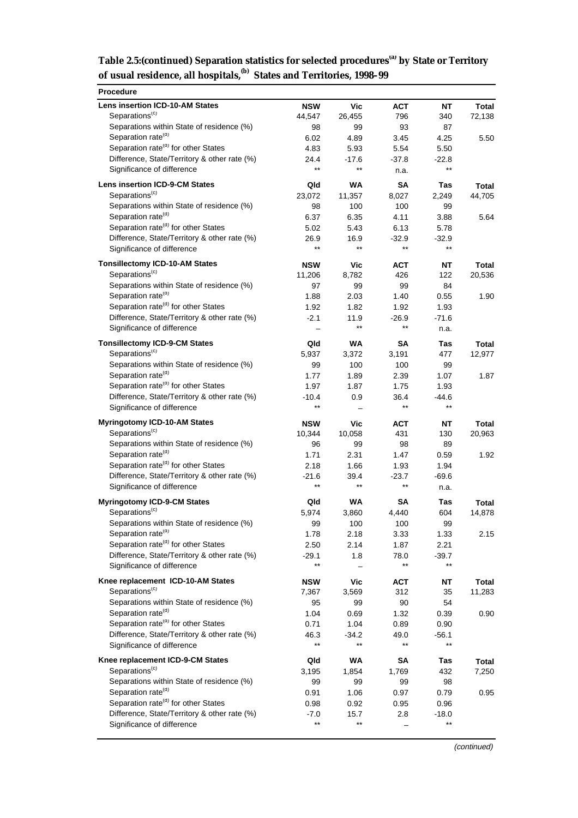| Table 2.5: (continued) Separation statistics for selected procedures <sup>(a)</sup> by State or Territory |  |
|-----------------------------------------------------------------------------------------------------------|--|
| of usual residence, all hospitals, <sup>(b)</sup> States and Territories, 1998-99                         |  |

| Procedure                                                                         |                            |                 |                 |                            |                |
|-----------------------------------------------------------------------------------|----------------------------|-----------------|-----------------|----------------------------|----------------|
| <b>Lens insertion ICD-10-AM States</b>                                            | <b>NSW</b>                 | <b>Vic</b>      | <b>ACT</b>      | ΝT                         | Total          |
| Separations <sup>(c)</sup>                                                        | 44,547                     | 26,455          | 796             | 340                        | 72,138         |
| Separations within State of residence (%)                                         | 98                         | 99              | 93              | 87                         |                |
| Separation rate <sup>(d)</sup><br>Separation rate <sup>(d)</sup> for other States | 6.02                       | 4.89            | 3.45            | 4.25                       | 5.50           |
| Difference, State/Territory & other rate (%)                                      | 4.83<br>24.4               | 5.93<br>$-17.6$ | 5.54<br>$-37.8$ | 5.50                       |                |
| Significance of difference                                                        | $***$                      | **              | n.a.            | $-22.8$<br>$^{\star\star}$ |                |
|                                                                                   |                            |                 |                 |                            |                |
| <b>Lens insertion ICD-9-CM States</b>                                             | Qld                        | WA              | <b>SA</b>       | Tas                        | Total          |
| Separations <sup>(c)</sup>                                                        | 23,072                     | 11,357          | 8,027           | 2,249                      | 44,705         |
| Separations within State of residence (%)<br>Separation rate <sup>(d)</sup>       | 98<br>6.37                 | 100<br>6.35     | 100<br>4.11     | 99<br>3.88                 | 5.64           |
| Separation rate <sup>(d)</sup> for other States                                   | 5.02                       | 5.43            | 6.13            | 5.78                       |                |
| Difference, State/Territory & other rate (%)                                      | 26.9                       | 16.9            | $-32.9$         | $-32.9$                    |                |
| Significance of difference                                                        | $^{\star\star}$            | $***$           | $***$           | $***$                      |                |
| <b>Tonsillectomy ICD-10-AM States</b>                                             | <b>NSW</b>                 | Vic             | <b>ACT</b>      | ΝT                         | Total          |
| Separations <sup>(c)</sup>                                                        | 11,206                     | 8,782           | 426             | 122                        | 20,536         |
| Separations within State of residence (%)                                         | 97                         | 99              | 99              | 84                         |                |
| Separation rate <sup>(d)</sup>                                                    | 1.88                       | 2.03            | 1.40            | 0.55                       | 1.90           |
| Separation rate <sup>(d)</sup> for other States                                   | 1.92                       | 1.82            | 1.92            | 1.93                       |                |
| Difference, State/Territory & other rate (%)                                      | $-2.1$                     | 11.9            | $-26.9$         | $-71.6$                    |                |
| Significance of difference                                                        |                            | $^{\star\star}$ | $***$           | n.a.                       |                |
| <b>Tonsillectomy ICD-9-CM States</b>                                              | Qld                        | <b>WA</b>       | SΑ              | Tas                        | Total          |
| Separations <sup>(c)</sup>                                                        | 5,937                      | 3,372           | 3,191           | 477                        | 12,977         |
| Separations within State of residence (%)                                         | 99                         | 100             | 100             | 99                         |                |
| Separation rate <sup>(d)</sup>                                                    | 1.77                       | 1.89            | 2.39            | 1.07                       | 1.87           |
| Separation rate <sup>(d)</sup> for other States                                   | 1.97                       | 1.87            | 1.75            | 1.93                       |                |
| Difference, State/Territory & other rate (%)<br>Significance of difference        | $-10.4$<br>$^{\star\star}$ | 0.9             | 36.4<br>$***$   | -44.6<br>$^{\star\star}$   |                |
|                                                                                   |                            |                 |                 |                            |                |
| <b>Myringotomy ICD-10-AM States</b>                                               | <b>NSW</b>                 | Vic             | <b>ACT</b>      | ΝT                         | Total          |
| Separations <sup>(c)</sup>                                                        | 10,344                     | 10,058          | 431             | 130                        | 20,963         |
| Separations within State of residence (%)<br>Separation rate <sup>(d)</sup>       | 96<br>1.71                 | 99<br>2.31      | 98<br>1.47      | 89<br>0.59                 | 1.92           |
| Separation rate <sup>(d)</sup> for other States                                   | 2.18                       | 1.66            | 1.93            | 1.94                       |                |
| Difference, State/Territory & other rate (%)                                      | -21.6                      | 39.4            | $-23.7$         | $-69.6$                    |                |
| Significance of difference                                                        | $\star\star$               | **              | $***$           | n.a.                       |                |
| <b>Myringotomy ICD-9-CM States</b>                                                | Qld                        | <b>WA</b>       | SΑ              | Tas                        | Total          |
| Separations <sup>(c)</sup>                                                        | 5,974                      | 3,860           | 4,440           | 604                        | 14,878         |
| Separations within State of residence (%)                                         | 99                         | 100             | 100             | 99                         |                |
| Separation rate <sup>(d)</sup>                                                    | 1.78                       | 2.18            | 3.33            | 1.33                       | 2.15           |
| Separation rate <sup>(d)</sup> for other States                                   | 2.50                       | 2.14            | 1.87            | 2.21                       |                |
| Difference, State/Territory & other rate (%)                                      | $-29.1$                    | 1.8             | 78.0            | $-39.7$                    |                |
| Significance of difference                                                        | $***$                      |                 |                 | $***$                      |                |
| Knee replacement ICD-10-AM States                                                 | <b>NSW</b>                 | Vic             | <b>ACT</b>      | NT                         | Total          |
| Separations <sup>(c)</sup>                                                        | 7,367                      | 3,569           | 312             | 35                         | 11,283         |
| Separations within State of residence (%)                                         | 95                         | 99              | 90              | 54                         |                |
| Separation rate <sup>(d)</sup>                                                    | 1.04                       | 0.69            | 1.32            | 0.39                       | 0.90           |
| Separation rate <sup>(d)</sup> for other States                                   | 0.71                       | 1.04            | 0.89            | 0.90                       |                |
| Difference, State/Territory & other rate (%)<br>Significance of difference        | 46.3<br>$\star\star$       | $-34.2$<br>**   | 49.0<br>$***$   | -56.1<br>$***$             |                |
| Knee replacement ICD-9-CM States                                                  |                            |                 |                 |                            |                |
| Separations <sup>(c)</sup>                                                        | Qld<br>3,195               | WA<br>1,854     | SA<br>1,769     | Tas<br>432                 | Total<br>7,250 |
| Separations within State of residence (%)                                         | 99                         | 99              | 99              | 98                         |                |
| Separation rate <sup>(d)</sup>                                                    | 0.91                       | 1.06            | 0.97            | 0.79                       | 0.95           |
| Separation rate <sup>(d)</sup> for other States                                   | 0.98                       | 0.92            | 0.95            | 0.96                       |                |
| Difference, State/Territory & other rate (%)                                      | $-7.0$                     | 15.7            | 2.8             | $-18.0$                    |                |
| Significance of difference                                                        | $^{\star\star}$            | **              |                 | $^{\star\star}$            |                |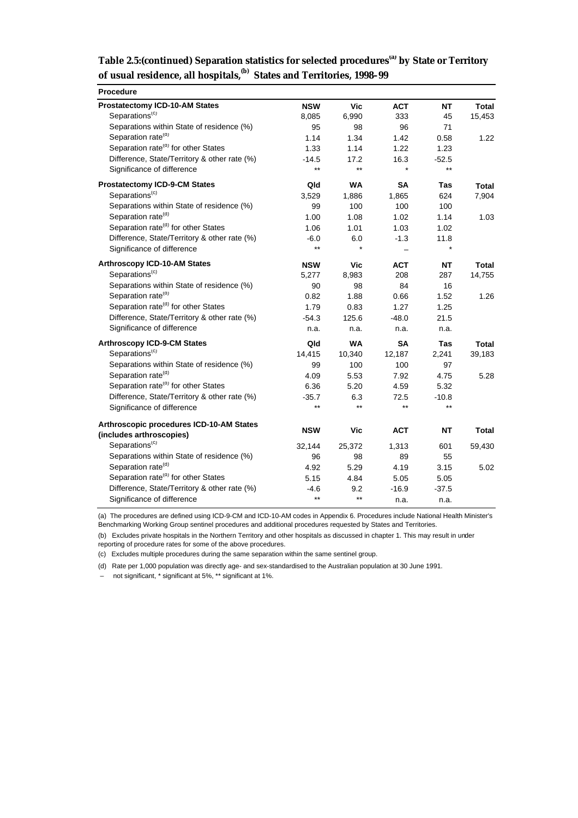| Table 2.5:(continued) Separation statistics for selected procedures <sup>(a)</sup> by State or Territory |  |
|----------------------------------------------------------------------------------------------------------|--|
| of usual residence, all hospitals, <sup>(b)</sup> States and Territories, 1998-99                        |  |

| <b>Procedure</b>                                |              |                 |            |            |        |
|-------------------------------------------------|--------------|-----------------|------------|------------|--------|
| <b>Prostatectomy ICD-10-AM States</b>           | <b>NSW</b>   | Vic             | <b>ACT</b> | <b>NT</b>  | Total  |
| Separations <sup>(c)</sup>                      | 8,085        | 6,990           | 333        | 45         | 15,453 |
| Separations within State of residence (%)       | 95           | 98              | 96         | 71         |        |
| Separation rate <sup>(d)</sup>                  | 1.14         | 1.34            | 1.42       | 0.58       | 1.22   |
| Separation rate <sup>(d)</sup> for other States | 1.33         | 1.14            | 1.22       | 1.23       |        |
| Difference, State/Territory & other rate (%)    | $-14.5$      | 17.2            | 16.3       | $-52.5$    |        |
| Significance of difference                      | $\star\star$ | $\star\star$    |            | $***$      |        |
| <b>Prostatectomy ICD-9-CM States</b>            | Qld          | <b>WA</b>       | <b>SA</b>  | Tas        | Total  |
| Separations <sup>(c)</sup>                      | 3,529        | 1,886           | 1,865      | 624        | 7,904  |
| Separations within State of residence (%)       | 99           | 100             | 100        | 100        |        |
| Separation rate <sup>(d)</sup>                  | 1.00         | 1.08            | 1.02       | 1.14       | 1.03   |
| Separation rate <sup>(d)</sup> for other States | 1.06         | 1.01            | 1.03       | 1.02       |        |
| Difference, State/Territory & other rate (%)    | $-6.0$       | 6.0             | $-1.3$     | 11.8       |        |
| Significance of difference                      | $\star\star$ |                 |            |            |        |
| <b>Arthroscopy ICD-10-AM States</b>             | <b>NSW</b>   | Vic             | <b>ACT</b> | <b>NT</b>  | Total  |
| Separations <sup>(c)</sup>                      | 5,277        | 8,983           | 208        | 287        | 14,755 |
| Separations within State of residence (%)       | 90           | 98              | 84         | 16         |        |
| Separation rate <sup>(d)</sup>                  | 0.82         | 1.88            | 0.66       | 1.52       | 1.26   |
| Separation rate <sup>(d)</sup> for other States | 1.79         | 0.83            | 1.27       | 1.25       |        |
| Difference, State/Territory & other rate (%)    | $-54.3$      | 125.6           | $-48.0$    | 21.5       |        |
| Significance of difference                      | n.a.         | n.a.            | n.a.       | n.a.       |        |
| <b>Arthroscopy ICD-9-CM States</b>              | Qld          | <b>WA</b>       | <b>SA</b>  | <b>Tas</b> | Total  |
| Separations <sup>(c)</sup>                      | 14,415       | 10,340          | 12,187     | 2,241      | 39,183 |
| Separations within State of residence (%)       | 99           | 100             | 100        | 97         |        |
| Separation rate <sup>(d)</sup>                  | 4.09         | 5.53            | 7.92       | 4.75       | 5.28   |
| Separation rate <sup>(d)</sup> for other States | 6.36         | 5.20            | 4.59       | 5.32       |        |
| Difference, State/Territory & other rate (%)    | $-35.7$      | 6.3             | 72.5       | $-10.8$    |        |
| Significance of difference                      | $\star\star$ | $\star\star$    | $***$      | $***$      |        |
| Arthroscopic procedures ICD-10-AM States        |              |                 |            |            |        |
| (includes arthroscopies)                        | <b>NSW</b>   | Vic             | <b>ACT</b> | <b>NT</b>  | Total  |
| Separations <sup>(c)</sup>                      | 32,144       | 25,372          | 1,313      | 601        | 59,430 |
| Separations within State of residence (%)       | 96           | 98              | 89         | 55         |        |
| Separation rate <sup>(d)</sup>                  | 4.92         | 5.29            | 4.19       | 3.15       | 5.02   |
| Separation rate <sup>(d)</sup> for other States | 5.15         | 4.84            | 5.05       | 5.05       |        |
| Difference, State/Territory & other rate (%)    | $-4.6$       | 9.2             | $-16.9$    | $-37.5$    |        |
| Significance of difference                      | $\star\star$ | $^{\star\star}$ | n.a.       | n.a.       |        |

(a) The procedures are defined using ICD-9-CM and ICD-10-AM codes in Appendix 6. Procedures include National Health Minister's

Benchmarking Working Group sentinel procedures and additional procedures requested by States and Territories.

(b) Excludes private hospitals in the Northern Territory and other hospitals as discussed in chapter 1. This may result in under

reporting of procedure rates for some of the above procedures.

(c) Excludes multiple procedures during the same separation within the same sentinel group.

(d) Rate per 1,000 population was directly age- and sex-standardised to the Australian population at 30 June 1991.

– not significant, \* significant at 5%, \*\* significant at 1%.